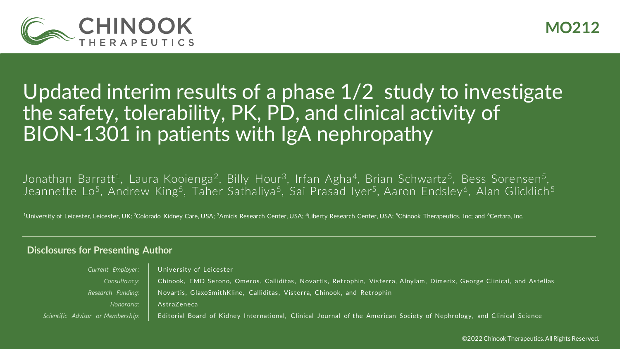

## Updated interim results of a phase 1/2 study to investigate the safety, tolerability, PK, PD, and clinical activity of BION-1301 in patients with IgA nephropathy

Jonathan Barratt<sup>1</sup>, Laura Kooienga<sup>2</sup>, Billy Hour<sup>3</sup>, Irfan Agha<sup>4</sup>, Brian Schwartz<sup>5</sup>, Bess Sorensen<sup>5</sup>, Jeannette Lo<sup>5</sup>, Andrew King<sup>5</sup>, Taher Sathaliya<sup>5</sup>, Sai Prasad Iyer<sup>5</sup>, Aaron Endsley<sup>6</sup>, Alan Glicklich<sup>5</sup>

<sup>1</sup>University of Leicester, Leicester, UK; <sup>2</sup>Colorado Kidney Care, USA; <sup>3</sup>Amicis Research Center, USA; <sup>4</sup>Liberty Research Center, USA; <sup>5</sup>Chinook Therapeutics, Inc; and <sup>6</sup>Certara, Inc.

### **Disclosures for Presenting Author**

| Current Employer:                 | University of Leicester                                                                                                 |
|-----------------------------------|-------------------------------------------------------------------------------------------------------------------------|
| Consultancy:                      | Chinook, EMD Serono, Omeros, Calliditas, Novartis, Retrophin, Visterra, Alnylam, Dimerix, George Clinical, and Astellas |
| Research Funding:                 | Novartis, GlaxoSmithKline, Calliditas, Visterra, Chinook, and Retrophin                                                 |
| Honoraria:                        | AstraZeneca                                                                                                             |
| Scientific Advisor or Membership: | Editorial Board of Kidney International, Clinical Journal of the American Society of Nephrology, and Clinical Science   |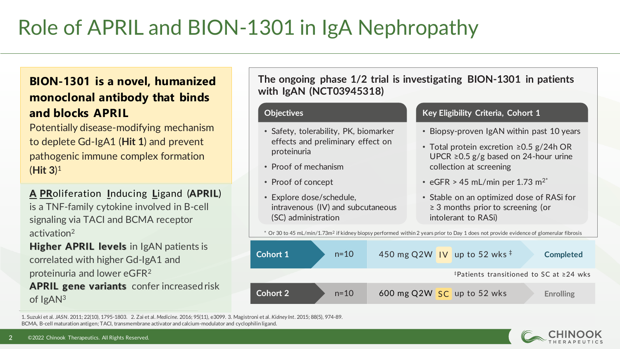# Role of APRIL and BION-1301 in IgA Nephropathy

### **BION-1301 is a novel, humanized monoclonal antibody that binds and blocks APRIL**

Potentially disease-modifying mechanism to deplete Gd-IgA1 (**Hit 1**) and prevent pathogenic immune complex formation (**Hit 3**) 1

**A PR**oliferation **I**nducing **L**igand (**APRIL**) is a TNF-family cytokine involved in B-cell signaling via TACI and BCMA receptor activation<sup>2</sup>

**Higher APRIL levels** in IgAN patients is correlated with higher Gd-IgA1 and proteinuria and lower eGFR<sup>2</sup> **APRIL gene variants** confer increased risk of IgAN3

**The ongoing phase 1/2 trial is investigating BION-1301 in patients with IgAN (NCT03945318)**

- Safety, tolerability, PK, biomarker effects and preliminary effect on proteinuria
- Proof of mechanism
- Proof of concept
- Explore dose/schedule, intravenous (IV) and subcutaneous (SC) administration

### **Objectives Constanting Community Criteria, Cohort 1 Key Eligibility Criteria, Cohort 1**

- Biopsy-proven IgAN within past 10 years
- Total protein excretion ≥0.5 g/24h OR UPCR ≥0.5 g/g based on 24-hour urine collection at screening
- eGFR > 45 mL/min per 1.73 m<sup>2\*</sup>
- Stable on an optimized dose of RASi for ≥ 3 months prior to screening (or intolerant to RASi)

 $*$  Or 30 to 45 mL/min/1.73m<sup>2</sup> if kidney biopsy performed within 2 years prior to Day 1 does not provide evidence of glomerular fibrosis



1. Suzuki et al. *JASN*. 2011; 22(10), 1795-1803. 2. Zai et al. *Medicine*. 2016; 95(11), e3099. 3. Magistroni et al. *Kidney Int*. 2015; 88(5), 974-89. BCMA, B-cell maturation antigen; TACI, transmembrane activator and calcium-modulator and cyclophilin ligand.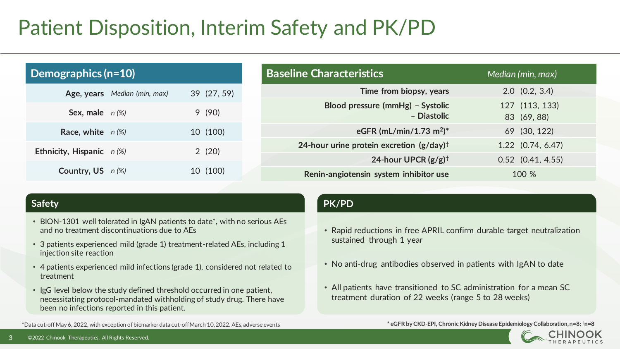# Patient Disposition, Interim Safety and PK/PD

| Demographics $(n=10)$        |             | <b>Baseline Characteristics</b>                        | Median (min, max)             |
|------------------------------|-------------|--------------------------------------------------------|-------------------------------|
| Age, years Median (min, max) | 39 (27, 59) | Time from biopsy, years                                | $2.0$ $(0.2, 3.4)$            |
| Sex, male $n(\%)$            | 9(90)       | Blood pressure (mmHg) - Systolic<br>- Diastolic        | 127 (113, 133)<br>83 (69, 88) |
| Race, white $n(\%)$          | 10 (100)    | eGFR (mL/min/1.73 m <sup>2</sup> )*                    | 69 (30, 122)                  |
| Ethnicity, Hispanic $n$ (%)  | 2(20)       | 24-hour urine protein excretion $(g/day)$ <sup>†</sup> | $1.22$ (0.74, 6.47)           |
|                              |             | 24-hour UPCR $(g/g)$ <sup>†</sup>                      | $0.52$ $(0.41, 4.55)$         |
| Country, $US \t n(\%)$       | 10 (100)    | Renin-angiotensin system inhibitor use                 | 100 %                         |

- BION-1301 well tolerated in IgAN patients to date\*, with no serious AEs and no treatment discontinuations due to AEs
- 3 patients experienced mild (grade 1) treatment-related AEs, including 1 injection site reaction
- 4 patients experienced mild infections (grade 1), considered not related to treatment
- IgG level below the study defined threshold occurred in one patient, necessitating protocol-mandated withholding of study drug. There have been no infections reported in this patient.

### **Safety PK/PD**

- Rapid reductions in free APRIL confirm durable target neutralization sustained through 1 year
- No anti-drug antibodies observed in patients with IgAN to date
- All patients have transitioned to SC administration for a mean SC treatment duration of 22 weeks (range 5 to 28 weeks)

**\* eGFR by CKD-EPI, Chronic Kidney Disease Epidemiology Collaboration, n=8; †**



\*Data cut-off May 6, 2022, with exception of biomarker data cut-off March 10, 2022. AEs, adverse events **n=8**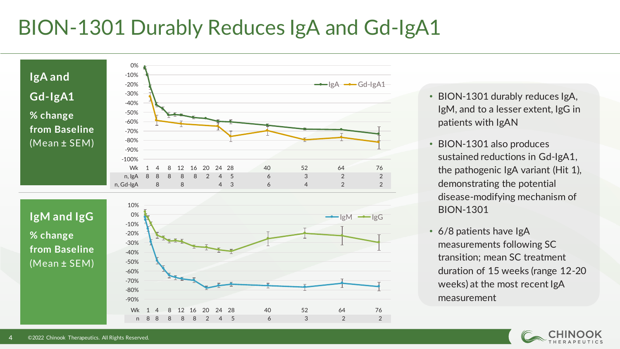# BION-1301 Durably Reduces IgA and Gd-IgA1



- BION-1301 durably reduces IgA, IgM, and to a lesser extent, IgG in patients with IgAN
- BION-1301 also produces sustained reductions in Gd-IgA1, the pathogenic IgA variant (Hit 1), demonstrating the potential disease-modifying mechanism of BION-1301
- 6/8 patients have IgA measurements following SC transition; mean SC treatment duration of 15 weeks (range 12-20 weeks) at the most recent IgA measurement

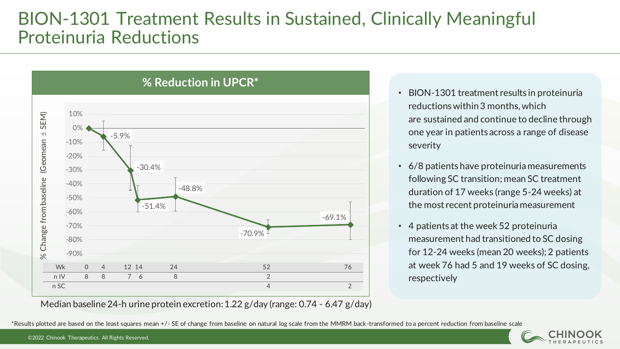## BION-1301 Treatment Results in Sustained, Clinically Meaningful Proteinuria Reductions



- BION-1301 treatment results in proteinuria reductions within 3 months, which are sustained and continue to decline through one year in patients across a range of disease severity
- 6/8 patients have proteinuria measurements following SC transition; mean SC treatment duration of 17 weeks (range 5-24 weeks) at the most recent proteinuria measurement
- 4 patients at the week 52 proteinuria measurement had transitioned to SC dosing for 12-24 weeks (mean 20 weeks); 2 patients at week 76 had 5 and 19 weeks of SC dosing, respectively

Median baseline 24-h urine protein excretion: 1.22 g/day (range: 0.74 - 6.47 g/day)

\*Results plotted are based on the least squares mean +/- SE of change from baseline on natural log scale from the MMRM back-transformed to a percent reduction from baseline scale